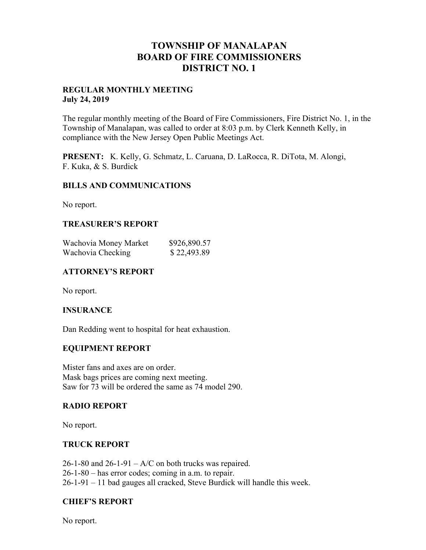## **TOWNSHIP OF MANALAPAN BOARD OF FIRE COMMISSIONERS DISTRICT NO. 1**

#### **REGULAR MONTHLY MEETING July 24, 2019**

The regular monthly meeting of the Board of Fire Commissioners, Fire District No. 1, in the Township of Manalapan, was called to order at 8:03 p.m. by Clerk Kenneth Kelly, in compliance with the New Jersey Open Public Meetings Act.

**PRESENT:** K. Kelly, G. Schmatz, L. Caruana, D. LaRocca, R. DiTota, M. Alongi, F. Kuka, & S. Burdick

### **BILLS AND COMMUNICATIONS**

No report.

## **TREASURER'S REPORT**

| Wachovia Money Market | \$926,890.57 |
|-----------------------|--------------|
| Wachovia Checking     | \$22,493.89  |

## **ATTORNEY'S REPORT**

No report.

### **INSURANCE**

Dan Redding went to hospital for heat exhaustion.

### **EQUIPMENT REPORT**

Mister fans and axes are on order. Mask bags prices are coming next meeting. Saw for 73 will be ordered the same as 74 model 290.

### **RADIO REPORT**

No report.

### **TRUCK REPORT**

 $26$ -1-80 and  $26$ -1-91 – A/C on both trucks was repaired. 26-1-80 – has error codes; coming in a.m. to repair. 26-1-91 – 11 bad gauges all cracked, Steve Burdick will handle this week.

## **CHIEF'S REPORT**

No report.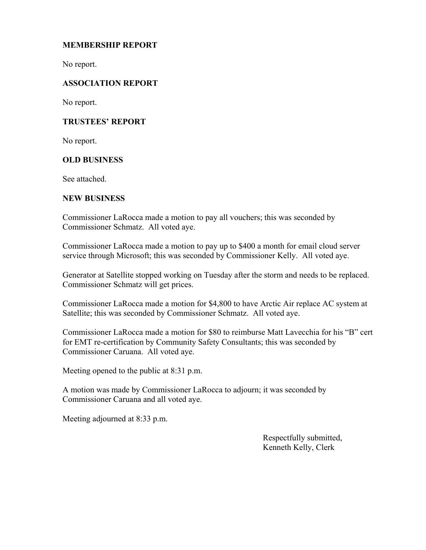## **MEMBERSHIP REPORT**

No report.

## **ASSOCIATION REPORT**

No report.

## **TRUSTEES' REPORT**

No report.

### **OLD BUSINESS**

See attached.

#### **NEW BUSINESS**

Commissioner LaRocca made a motion to pay all vouchers; this was seconded by Commissioner Schmatz. All voted aye.

Commissioner LaRocca made a motion to pay up to \$400 a month for email cloud server service through Microsoft; this was seconded by Commissioner Kelly. All voted aye.

Generator at Satellite stopped working on Tuesday after the storm and needs to be replaced. Commissioner Schmatz will get prices.

Commissioner LaRocca made a motion for \$4,800 to have Arctic Air replace AC system at Satellite; this was seconded by Commissioner Schmatz. All voted aye.

Commissioner LaRocca made a motion for \$80 to reimburse Matt Lavecchia for his "B" cert for EMT re-certification by Community Safety Consultants; this was seconded by Commissioner Caruana. All voted aye.

Meeting opened to the public at 8:31 p.m.

A motion was made by Commissioner LaRocca to adjourn; it was seconded by Commissioner Caruana and all voted aye.

Meeting adjourned at 8:33 p.m.

 Respectfully submitted, Kenneth Kelly, Clerk